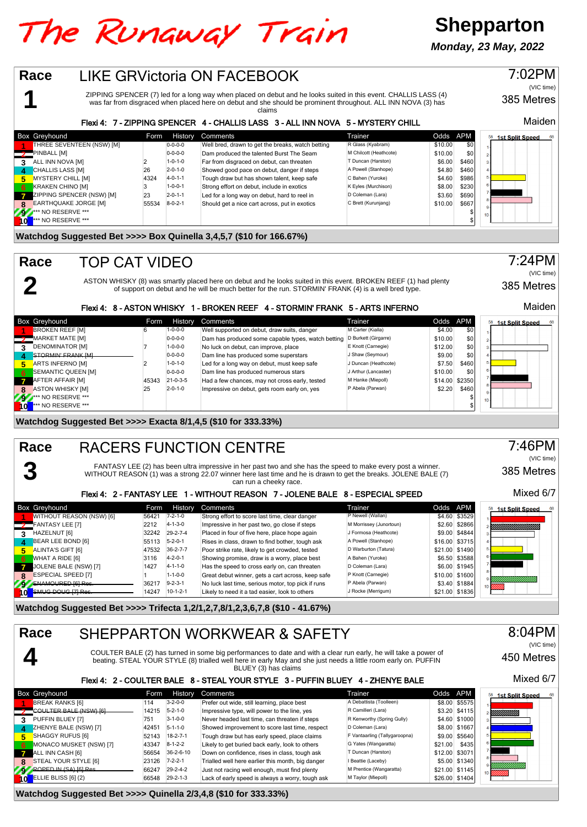# The Runaway Train

**1**

**2**

**3**

**Race**

**Race**

**Race**



#### 8:04PM **Race** SHEPPARTON WORKWEAR & SAFETY (VIC time) **4** COULTER BALE (2) has turned in some big performances to date and with a clear run early, he will take a power of 450 Metres beating. STEAL YOUR STYLE (8) trialled well here in early May and she just needs a little room early on. PUFFIN BLUEY (3) has claims Mixed 6/7 Flexi 4: 2 - COULTER BALE 8 - STEAL YOUR STYLE 3 - PUFFIN BLUEY 4 - ZHENYE BALE Box Greyhound Form History Comments Trainer Odds APM **1st Split Speed** 114 3-2-0-0 Prefer out wide, still learning, place best A Debattista (Toolleen) \$8.00 \$5575<br>COULTER BALE (NSW) [6] 14215 5-2-1-0 Impressive type, will power to the line, yes R Camilleri (Lara) \$3.20 \$4115 **2** COULTER BALE (NSW) [6] 14215 5-2-1-0 Impressive type, will power to the line, yes R Camilleri (Lara) \$3.20 \$4115 **13-1-0-0 Never headed last time, can threaten if steps** R Kenworthy (Spring Gully) \$4.60 \$1000 **\$4.60 \$1000** R Kenworthy (Spring Gully) \$4.60 \$1000 R Kenworthy (Spring Gully) \$4.60 \$1000 \$1000 R Kenworth Coleman (Lara) \$8 **4** 2HENYE BALE (NSW) [7] 42451 5-1-1-0 Showed improvement to score last time, respect D Coleman (Lara) \$8.00 \$1667 <br>18-AGGY RUFUS [6] 59.00 \$5644 5-2-7-1 Tough draw but has early speed, place claims F Vantaarling (Tallyga **5** SHAGGY RUFUS [6] 52143 18-2-7-1 Tough draw but has early speed, place claims F Vantaarling (Tallygaroopna) \$9.00 \$5640<br>MONACO MUSKET (NSW) [7] 43347 8-1-2-2 Likely to get buried back early, look to others G Yates (Wang MONACO MUSKET (NSW) [7] 43347 8-1-2-2 Likely to get buried back early, look to others G Yates (Wangaratta) \$21.00<br>ALL INN CASH [6] 521.00 53071 56654 36-2-6-10 Down on confidence, rises in class, tough ask T Duncan (Harsto ALL INN CASH [6] 56654 36-2-6-10 Down on confidence, rises in class, tough ask T Duncan (Harston) \$12.00 \$3071<br>STEAL YOUR STYLE [6] 55.00 \$1340 7-2-2-1 Trialled well here earlier this month, big danger I Beatte (Laceby) \$5

8<br>**8 STEAL YOUR STYLE [6]** 23126 7-2-2-1 Trialled well here earlier this month, big danger I Beattie (Laceby) \$5.00 \$1340<br>ROPED IN (SA) [6] Res. 2004 29-24-2 Just not racing well enough, must find plenty M Prentice (Wangar **9** ROPED IN (SA) [6] Res. 66247 29-2-4-2 Just not racing well enough, must find plenty M Prentice (Wangaratta) \$21.00 \$1145<br>10 ELLIE BLISS [6] (2) 66548 29-2-1-3 Lack of early speed is always a worry, tough ask M Taylor ( Lack of early speed is always a worry, tough ask

## **Watchdog Suggested Bet >>>> Quinella 2/3,4,8 (\$10 for 333.33%)**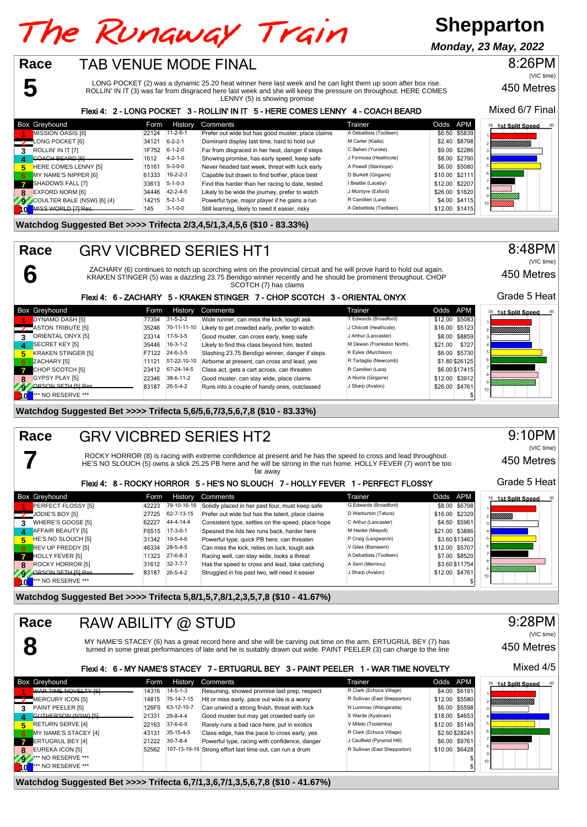# The Runaway Train

# **Shepparton**

**Monday, 23 May, 2022**

## TAB VENUE MODE FINAL

**5**

**6**

**7**

**8**

**Race**

**Race**

LONG POCKET (2) was a dynamic 25.20 heat winner here last week and he can light them up soon after box rise. ROLLIN' IN IT (3) was far from disgraced here last week and she will keep the pressure on throughout. HERE COMES LENNY (5) is showing promise

## 450 Metres

8:26PM

(VIC time)

#### Mixed 6/7 Final Flexi 4: 2 - LONG POCKET 3 - ROLLIN' IN IT 5 - HERE COMES LENNY 4 - COACH BEARD Box Greyhound **Form History Comments** Trainer Trainer Codds APM<br>**1 MISSION** OASIS 161 **Form 1999 122124 111-2-6-1** Prefer out wide but has good muster, place claims A Debattista (Toolleen) \$6.50 \$5839 1st Split Speed 11-2-6-1 Prefer out wide but has good muster, place claims A Debattista (Toolleen) \$6.50 \$5839 A Debattista (Toolleen) \$6.50 \$5839<br>CONG POCKET I61 52.40 \$8798 A 22-1 Dominant display last time, hard to hold out M Carter (K **2** LONG POCKET [6] 34121 6-2-2-1 Dominant display last time, hard to hold out M Carter (Kialla) \$2.40 \$8798 UMMM. **39.00 17752 6-1-2-0 Far from disgraced in her heat, danger if steps C Bahen (Yuroke) \$9.00 \$2286 ROLLIN' IN IT [7]<br>COACH BEARD IGLARE 1612 4-2-1-0 Showing promise, has early speed, keep safe J Formosa (Heathcote) \$8.00 \$2 4** COACH BEARD [6] 1612 4-2-1-0 Showing promise, has early speed, keep safe J Formosa (Heathcote) \$8.00 \$2790 **FIERE COMES LENNY [5]** 15161 5-3-0-0 Never headed last week, threat with luck early A Powell (Stanhope) \$6.00 \$5080 \$5080 \$5080 \$5080 \$5080 \$5080 \$5080 \$10.00 \$2111 **MY NAME'S NIPPER [6] 61333 16-2-2-3** Capable but drawn to find bother, place best D Burkett (Girgarre) \$10.00 \$2111<br>SHADOWS FALL 171 3613 5-1-0-3 Find this harder than her racing to date. tested I Beattie (Laceby) \$12.00 **7** SHADOWS FALL [7] 33613 5-1-0-3 Find this harder than her racing to date, tested I Beattie (Laceby) \$12.00 \$2207<br>EXFORD NORM [6] 34446 42-2-4-5 Likely to be wide the journey, prefer to watch J Mcintyre (Exford) \$26.00 \$ **8** EXFORD NORM [6] 34446 42-2-4-5 Likely to be wide the journey, prefer to watch J Mcintyre (Exford) \$26.00 \$1620<br>COULTER BALE (NSW) [6] (4) 14215 5-2-1-0 Powerful type, major player if he gains a run R Camilleri (Lara) \$ POULTER BALE (NSW) [6] (4) 14215 5-2-1-0 Powerful type, major player if he gains a run R Camilleri (Lara) \$4.00 \$4115<br>**AUSS WORLD [7] Res. \_\_\_\_\_\_\_\_\_\_\_\_\_\_\_** 145 3-1-0-0 Still learning, likely to need it easier, risky A Deba Still learning, likely to need it easier, risky

### **Watchdog Suggested Bet >>>> Trifecta 2/3,4,5/1,3,4,5,6 (\$10 - 83.33%)**

## GRV VICBRED SERIES HT1

ZACHARY (6) continues to notch up scorching wins on the provincial circuit and he will prove hard to hold out again. KRAKEN STINGER (5) was a dazzling 23.75 Bendigo winner recently and he should be prominent throughout. CHOP SCOTCH (7) has claims

## Flexi 4: 6 - ZACHARY 5 - KRAKEN STINGER 7 - CHOP SCOTCH 3 - ORIENTAL ONYX

|          | <b>Box Greyhound</b>      | Form  | History          | Comments                                       | Trainer                   |         | Odds APM       | <b>1st Split Speed</b><br>58 |
|----------|---------------------------|-------|------------------|------------------------------------------------|---------------------------|---------|----------------|------------------------------|
|          | DYNAMO DASH [5]           | 77354 | $31 - 5 - 2 - 2$ | Wide runner, can miss the kick, tough ask      | T Edwards (Broadford)     |         | \$12.00 \$5083 |                              |
|          | ASTON TRIBUTE [5]         | 35246 | 70-11-11-10      | Likely to get crowded early, prefer to watch   | J Chilcott (Heathcote)    |         | \$16.00 \$5123 | ,,,,,,,,,,,,,,,,,,,,,,       |
|          | ORIENTAL ONYX [5]         | 23314 | $17-5-3-5$       | Good muster, can cross early, keep safe        | J Arthur (Lancaster)      |         | \$8.00 \$8859  |                              |
| $\Delta$ | SECRET KEY [5]            | 35446 | $16-3-1-2$       | Likely to find this class beyond him, tested   | M Dewan (Frankston North) | \$21.00 | \$727          |                              |
| 5        | <b>KRAKEN STINGER [5]</b> | F7122 | 24-6-3-5         | Slashing 23.75 Bendigo winner, danger if steps | K Eyles (Murchison)       |         | \$6.00 \$5730  |                              |
| 6        | ZACHARY [5]               | 11121 | 57-22-10-10      | Airborne at present, can cross and lead, yes   | R Tartaglia (Newcomb)     |         | \$1.80 \$26125 |                              |
|          | CHOP SCOTCH [5]           |       | 23412 67-24-14-5 | Class act, gets a cart across, can threaten    | R Camilleri (Lara)        |         | \$6.00 \$17415 |                              |
| 8        | <b>GYPSY PLAY [5]</b>     | 22346 | 38-6-11-2        | Good muster, can stay wide, place claims       | A Norris (Girgarre)       |         | \$12.00 \$3912 |                              |
| 79       | <b>ORSON SETH ISLRes.</b> | 83187 | $26 - 5 - 4 - 2$ | Runs into a couple of handy ones, outclassed   | J Sharp (Avalon)          |         | \$26.00 \$4761 | 10 <sup>1</sup>              |
|          | <b>*** NO RESERVE ***</b> |       |                  |                                                |                           |         |                |                              |

## **Watchdog Suggested Bet >>>> Trifecta 5,6/5,6,7/3,5,6,7,8 (\$10 - 83.33%)**

#### GRV VICBRED SERIES HT2 **Race**

ROCKY HORROR (8) is racing with extreme confidence at present and he has the speed to cross and lead throughout. HE'S NO SLOUCH (5) owns a slick 25.25 PB here and he will be strong in the run home. HOLLY FEVER (7) won't be too far away

## Flexi 4: 8 - ROCKY HORROR 5 - HE'S NO SLOUCH 7 - HOLLY FEVER 1 - PERFECT FLOSSY

|              | <b>Box Greyhound</b>          | Form  | History          | Comments                                          | Trainer                 | Odds APM       | <b>1st Split Speed</b> |
|--------------|-------------------------------|-------|------------------|---------------------------------------------------|-------------------------|----------------|------------------------|
|              | PERFECT FLOSSY [5]            | 42223 | 79-10-16-16      | Solidly placed in her past four, must keep safe   | G Edwards (Broadford)   | \$8.00 \$6798  |                        |
|              | JODIE'S BOY [5]               | 27725 | 62-7-13-15       | Prefer out wide but has the talent, place claims  | D Warburton (Tatura)    | \$16.00 \$2329 | <i>Millilli</i>        |
|              | WHERE'S GOOSE [5]             | 62227 | 44-4-14-4        | Consistent type, settles on the speed, place hope | C Arthur (Lancaster)    | \$4.60 \$5961  |                        |
| 4            | AFFAIR BEAUTY [5]             | F6515 | $17-3-0-1$       | Speared the lids two runs back, harder here       | M Hanke (Miepoll)       | \$21.00 \$3886 |                        |
| 5.           | HE'S NO SLOUCH [5]            | 31342 | $19-5-4-6$       | Powerful type, quick PB here, can threaten        | P Craig (Langwarrin)    | \$3.60 \$13463 |                        |
| 6.           | <b>REV UP FREDDY [5]</b>      | 46334 | 28-5-4-5         | Can miss the kick, relies on luck, tough ask      | V Giles (Bamawm)        | \$12.00 \$5707 |                        |
| $\mathbf{z}$ | HOLLY FEVER [5]               | 11323 | $27-6-8-3$       | Racing well, can stay wide, looks a threat        | A Debattista (Toolleen) | \$7.00 \$8520  |                        |
| 8            | <b>ROCKY HORROR [5]</b>       | 31612 | $32 - 7 - 7 - 7$ | Has the speed to cross and lead, take catching    | A Xerri (Merrimu)       | \$3.60 \$11754 |                        |
| ZS.          | ORSON SETH [5] Res.           | 83187 | $26 - 5 - 4 - 2$ | Struggled in his past two, will need it easier    | J Sharp (Avalon)        | \$12.00 \$4761 |                        |
| 10           | <sup>***</sup> NO RESERVE *** |       |                  |                                                   |                         |                |                        |

**Watchdog Suggested Bet >>>> Trifecta 5,8/1,5,7,8/1,2,3,5,7,8 (\$10 - 41.67%)**

#### RAW ABILITY @ STUD **Race**

MY NAME'S STACEY (6) has a great record here and she will be carving out time on the arm. ERTUGRUL BEY (7) has turned in some great performances of late and he is suitably drawn out wide. PAINT PEELER (3) can charge to the line

## Flexi 4: 6 - MY NAME'S STACEY 7 - ERTUGRUL BEY 3 - PAINT PEELER 1 - WAR TIME NOVELTY

|           | Box Greyhound             | Form  | History          | Comments                                                 | Trainer                      | Odds APM |                |                 | 1st Split Speed | 68 |
|-----------|---------------------------|-------|------------------|----------------------------------------------------------|------------------------------|----------|----------------|-----------------|-----------------|----|
|           | WAR TIME NOVELTY ISL      | 14316 | $14 - 5 - 1 - 3$ | Resuming, showed promise last prep, respect              | R Clark (Echuca Village)     |          | \$4.00 \$6191  |                 |                 |    |
|           | MERCURY ICON [5]          | 14815 | 75-14-7-15       | Hit or miss early, pace out wide is a worry              | R Sullivan (East Shepparton) |          | \$12.00 \$5580 |                 | YHHHHHHHHH      |    |
|           | PAINT PEELER [5]          | 126F5 | 63-12-10-7       | Can unwind a strong finish, threat with luck             | N Lummas (Wangaratta)        |          | \$6.00 \$5598  |                 |                 |    |
|           | GUTHERSON (NSW) [5]       | 21331 | 29-8-4-4         | Good muster but may get crowded early on                 | S Warde (Kyabram)            |          | \$18.00 \$4653 |                 |                 |    |
| 5.        | RETURN SERVE [4]          | 22163 | $37-6-6-9$       | Rarely runs a bad race here, put in exotics              | V Mileto (Toolamba)          |          | \$12.00 \$5149 |                 |                 |    |
| 6.        | MY NAME'S STACEY [4]      | 43131 | 35-15-4-5        | Class edge, has the pace to cross early, yes             | R Clark (Echuca Village)     |          | \$2.60 \$28241 |                 |                 |    |
|           | ERTUGRUL BEY [4]          | 21222 | $30 - 7 - 8 - 4$ | Powerful type, racing with confidence, danger            | J Caulfield (Pyramid Hill)   |          | \$6.00 \$9761  |                 |                 |    |
|           | EUREKA ICON [5]           | 52562 |                  | 107-13-19-16 Strong effort last time out, can run a drum | R Sullivan (East Shepparton) |          | \$10.00 \$6428 |                 |                 |    |
| <b>AV</b> | <b>*** NO RESERVE ***</b> |       |                  |                                                          |                              |          |                | 10 <sub>1</sub> |                 |    |
|           | *** NO RESERVE ***        |       |                  |                                                          |                              |          |                |                 |                 |    |

#### **Watchdog Suggested Bet >>>> Trifecta 6,7/1,3,6,7/1,3,5,6,7,8 (\$10 - 41.67%)**



450 Metres

Grade 5 Heat

8:48PM

(VIC time)



9:10PM (VIC time)

450 Metres

Grade 5 Heat



450 Metres Mixed 4/5

9:28PM

(VIC time)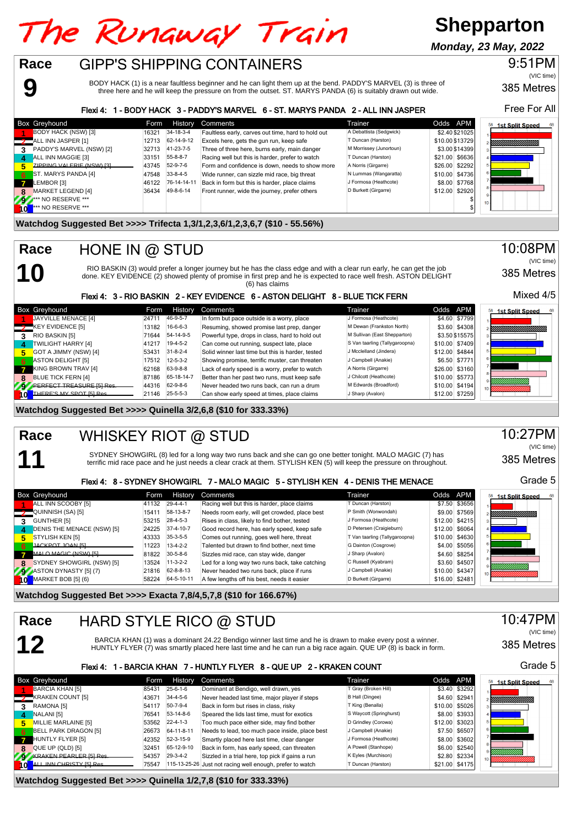# The Runaway Train

# **Shepparton**

**Monday, 23 May, 2022**

#### GIPP'S SHIPPING CONTAINERS **Race**

BODY HACK (1) is a near faultless beginner and he can light them up at the bend. PADDY'S MARVEL (3) is three of three here and he will keep the pressure on from the outset. ST. MARYS PANDA (6) is suitably drawn out wide.

#### Flexi 4: 1 - BODY HACK 3 - PADDY'S MARVEL 6 - ST. MARYS PANDA 2 - ALL INN JASPER

|              | <b>Box Greyhound</b>       | Form  | <b>History</b>   | Comments                                           | Trainer                 | Odds APM        | <b>1st Split Speed</b><br>68 |
|--------------|----------------------------|-------|------------------|----------------------------------------------------|-------------------------|-----------------|------------------------------|
|              | <b>BODY HACK (NSW) [3]</b> | 16321 | 34-18-3-4        | Faultless early, carves out time, hard to hold out | A Debattista (Sedgwick) | \$2.40 \$21025  |                              |
|              | ALL INN JASPER [1]         | 12713 | 62-14-9-12       | Excels here, gets the gun run, keep safe           | T Duncan (Harston)      | \$10.00 \$13729 |                              |
| 3            | PADDY'S MARVEL (NSW) [2]   | 32713 | 41-23-7-5        | Three of three here, burns early, main danger      | M Morrissey (Junortoun) | \$3.00 \$14399  |                              |
| 4            | ALL INN MAGGIE [3]         | 33151 | $55 - 8 - 8 - 7$ | Racing well but this is harder, prefer to watch    | T Duncan (Harston)      | \$21.00 \$6636  |                              |
|              | ZIPPING VALERIE (NSW) [3]  | 43745 | 52-9-7-6         | Form and confidence is down, needs to show more    | A Norris (Girgarre)     | \$26.00 \$2292  |                              |
| - 6          | ST. MARYS PANDA [4]        | 47548 | $33 - 8 - 4 - 5$ | Wide runner, can sizzle mid race, big threat       | N Lummas (Wangaratta)   | \$10.00 \$4736  |                              |
| $\mathbf{z}$ | LEMBOR [3]                 | 46122 | 76-14-14-11      | Back in form but this is harder, place claims      | J Formosa (Heathcote)   | \$8.00 \$7768   |                              |
| 8            | <b>MARKET LEGEND [4]</b>   | 36434 | 49-8-6-14        | Front runner, wide the journey, prefer others      | D Burkett (Girgarre)    | \$12.00 \$2920  |                              |
|              | ** NO RESERVE ***          |       |                  |                                                    |                         |                 | 10 <sup>1</sup>              |
|              | *** NO RESERVE ***         |       |                  |                                                    |                         |                 |                              |

#### **Watchdog Suggested Bet >>>> Trifecta 1,3/1,2,3,6/1,2,3,6,7 (\$10 - 55.56%)**

**10 Race**

**11**

**12**

**9**

## HONE IN @ STUD

RIO BASKIN (3) would prefer a longer journey but he has the class edge and with a clear run early, he can get the job<br>done. KEY EVIDENCE (2) showed plenty of promise in first prep and he is expected to race well fresh. AST (6) has claims

#### Flexi 4: 3 - RIO BASKIN 2 - KEY EVIDENCE 6 - ASTON DELIGHT 8 - BLUE TICK FERN

|              | <b>Box Greyhound</b>              | Form  | History          | Comments                                          | Trainer                        | Odds APM       | <b>1st Split Speed</b> |
|--------------|-----------------------------------|-------|------------------|---------------------------------------------------|--------------------------------|----------------|------------------------|
|              | JAYVILLE MENACE [4]               | 2471  | 46-9-5-7         | In form but pace outside is a worry, place        | J Formosa (Heathcote)          | \$4.60 \$7799  |                        |
|              | $\rightarrow$ KEY EVIDENCE [5]    | 13182 | $16-6-6-3$       | Resuming, showed promise last prep, danger        | M Dewan (Frankston North)      | \$3.60 \$4308  |                        |
|              | RIO BASKIN [5]                    | 71644 | 54-14-9-5        | Powerful type, drops in class, hard to hold out   | M Sullivan (East Shepparton)   | \$3.50 \$15575 |                        |
| 4            | <b>TWILIGHT HARRY [4]</b>         | 41217 | $19-4-5-2$       | Can come out running, suspect late, place         | S Van taarling (Tallygaroopna) | \$10.00 \$7409 |                        |
| Б.           | GOT A JIMMY (NSW) [4]             | 53431 | $31 - 8 - 2 - 4$ | Solid winner last time but this is harder, tested | J Mcclelland (Jindera)         | \$12.00 \$4844 |                        |
| -6           | ASTON DELIGHT [5]                 | 17512 | $12 - 5 - 3 - 2$ | Showing promise, terrific muster, can threaten    | J Campbell (Anakie)            | \$6.50 \$7771  |                        |
| $\mathbf{7}$ | KING BROWN TRAV [4]               | 62168 | 63-9-8-8         | Lack of early speed is a worry, prefer to watch   | A Norris (Girgarre)            | \$26.00 \$3160 |                        |
|              | <b>BLUE TICK FERN [4]</b>         | 87186 | 65-18-14-7       | Better than her past two runs, must keep safe     | J Chilcott (Heathcote)         | \$10.00 \$5773 |                        |
|              | 9 PERFECT TREASURE [5] Res.       | 44316 | 62-9-8-6         | Never headed two runs back, can run a drum        | M Edwards (Broadford)          | \$10.00 \$4194 |                        |
|              | <b>10</b> THERE'S MY SPOT [5] Res | 21146 | $25 - 5 - 5 - 3$ | Can show early speed at times, place claims       | J Sharp (Avalon)               | \$12.00 \$7259 |                        |

#### **Watchdog Suggested Bet >>>> Quinella 3/2,6,8 (\$10 for 333.33%)**

#### WHISKEY RIOT @ STUD **Race**

SYDNEY SHOWGIRL (8) led for a long way two runs back and she can go one better tonight. MALO MAGIC (7) has terrific mid race pace and he just needs a clear crack at them. STYLISH KEN (5) will keep the pressure on throughout.

#### Flexi 4: 8 - SYDNEY SHOWGIRL 7 - MALO MAGIC 5 - STYLISH KEN 4 - DENIS THE MENACE

|                | <b>Box Greyhound</b>              | Form  | History          | Comments                                        | Trainer                        | Odds APM       |                | <b>1st Split Speed</b><br>68 |
|----------------|-----------------------------------|-------|------------------|-------------------------------------------------|--------------------------------|----------------|----------------|------------------------------|
|                | ALL INN SCOOBY [5]                | 41132 | $29-4-4-1$       | Racing well but this is harder, place claims    | T Duncan (Harston)             |                | \$7.50 \$3656  |                              |
|                | QUINNISH (SA) [5]                 | 15411 | 58-13-8-7        | Needs room early, will get crowded, place best  | P Smith (Wonwondah)            |                | \$9.00 \$7569  |                              |
| 3              | GUNTHER [5]                       | 53215 | 28-4-5-3         | Rises in class, likely to find bother, tested   | J Formosa (Heathcote)          |                | \$12.00 \$4215 |                              |
| $\overline{a}$ | <b>DENIS THE MENACE (NSW) [5]</b> | 24225 | 37-4-10-7        | Good record here, has early speed, keep safe    | D Petersen (Craigieburn)       |                | \$12.00 \$6064 |                              |
| 5.             | STYLISH KEN [5]                   | 43333 | $35-3-5-5$       | Comes out running, goes well here, threat       | T Van taarling (Tallygaroopna) |                | \$10.00 \$4630 |                              |
| - 6            | JACKPOT JOAN [5]                  | 11223 | $13-4-2-2$       | Talented but drawn to find bother, next time    | G Dainton (Cosgrove)           |                | \$4.00 \$5056  |                              |
|                | MALO MAGIC (NSW) [5]              | 81822 | $30 - 5 - 8 - 6$ | Sizzles mid race, can stay wide, danger         | J Sharp (Avalon)               |                | \$4.60 \$8254  |                              |
| 8              | SYDNEY SHOWGIRL (NSW) [5]         | 13524 | $11-3-2-2$       | Led for a long way two runs back, take catching | C Russell (Kyabram)            |                | \$3.60 \$4507  |                              |
|                | 43 ASTON DYNASTY [5] (7)          | 21816 | 62-8-8-13        | Never headed two runs back, place if runs       | J Campbell (Anakie)            |                | \$10.00 \$4347 |                              |
|                | MARKET BOB [5] (6)                | 58224 | 64-5-10-11       | A few lengths off his best, needs it easier     | D Burkett (Girgarre)           | \$16.00 \$2481 |                |                              |

**Watchdog Suggested Bet >>>> Exacta 7,8/4,5,7,8 (\$10 for 166.67%)**

#### HARD STYLE RICO @ STUD **Race**

BARCIA KHAN (1) was a dominant 24.22 Bendigo winner last time and he is drawn to make every post a winner. HUNTLY FLYER (7) was smartly placed here last time and he can run a big race again. QUE UP (8) is back in form.

#### Flexi 4: 1 - BARCIA KHAN 7 - HUNTLY FLYER 8 - QUE UP 2 - KRAKEN COUNT

|    | Box Greyhound               | Form  | <b>History</b>   | Comments                                                  | Trainer                 | Odds APM |                | 58<br><b>1st Split Speed</b> |
|----|-----------------------------|-------|------------------|-----------------------------------------------------------|-------------------------|----------|----------------|------------------------------|
|    | <b>BARCIA KHAN [5]</b>      | 85431 | $25 - 6 - 1 - 6$ | Dominant at Bendigo, well drawn, yes                      | T Gray (Broken Hill)    |          | \$3.40 \$3292  |                              |
|    | <b>KRAKEN COUNT [5]</b>     | 43671 | $34 - 4 - 5 - 6$ | Never headed last time, major player if steps             | B Hall (Dingee)         |          | \$4.60 \$2941  | Allillillillillillilli       |
| 3. | RAMONA [5]                  | 54117 | $50 - 7 - 9 - 4$ | Back in form but rises in class, risky                    | T King (Benalla)        |          | \$10.00 \$5026 |                              |
|    | NALANI [5]                  | 76541 | 53-14-8-6        | Speared the lids last time, must for exotics              | S Waycott (Springhurst) |          | \$8.00 \$3933  |                              |
|    | MILLIE MARLAINE [5]         | 53562 | $22 - 4 - 1 - 3$ | Too much pace either side, may find bother                | D Grindley (Corowa)     |          | \$12.00 \$3023 |                              |
| 6. | <b>BELL PARK DRAGON [5]</b> | 26673 | 64-11-8-11       | Needs to lead, too much pace inside, place best           | J Campbell (Anakie)     |          | \$7.50 \$6507  |                              |
|    | HUNTLY FLYER [5]            | 42352 | 52-3-15-9        | Smartly placed here last time, clear danger               | J Formosa (Heathcote)   |          | \$8.00 \$3602  |                              |
|    | QUE UP (QLD) [5]            | 32451 | 65-12-9-10       | Back in form, has early speed, can threaten               | A Powell (Stanhope)     |          | \$6.00 \$2540  |                              |
| 79 | KRAKEN PEARLER [5] Roc      | 54357 | $29 - 3 - 4 - 2$ | Sizzled in a trial here, top pick if gains a run          | K Eyles (Murchison)     |          | \$2.80 \$2334  |                              |
|    | ALL INN CHRISTY ISI Ros     | 75547 |                  | 115-13-25-26 Just not racing well enough, prefer to watch | T Duncan (Harston)      |          | \$21.00 \$4175 |                              |

#### **Watchdog Suggested Bet >>>> Quinella 1/2,7,8 (\$10 for 333.33%)**

Free For All

385 Metres

9:51PM

(VIC time)



385 Metres

Mixed 4/5

(VIC time)

 $68$ 

10:08PM

10:27PM (VIC time)

385 Metres

Grade 5

385 Metres 10:47PM (VIC time)

Grade 5